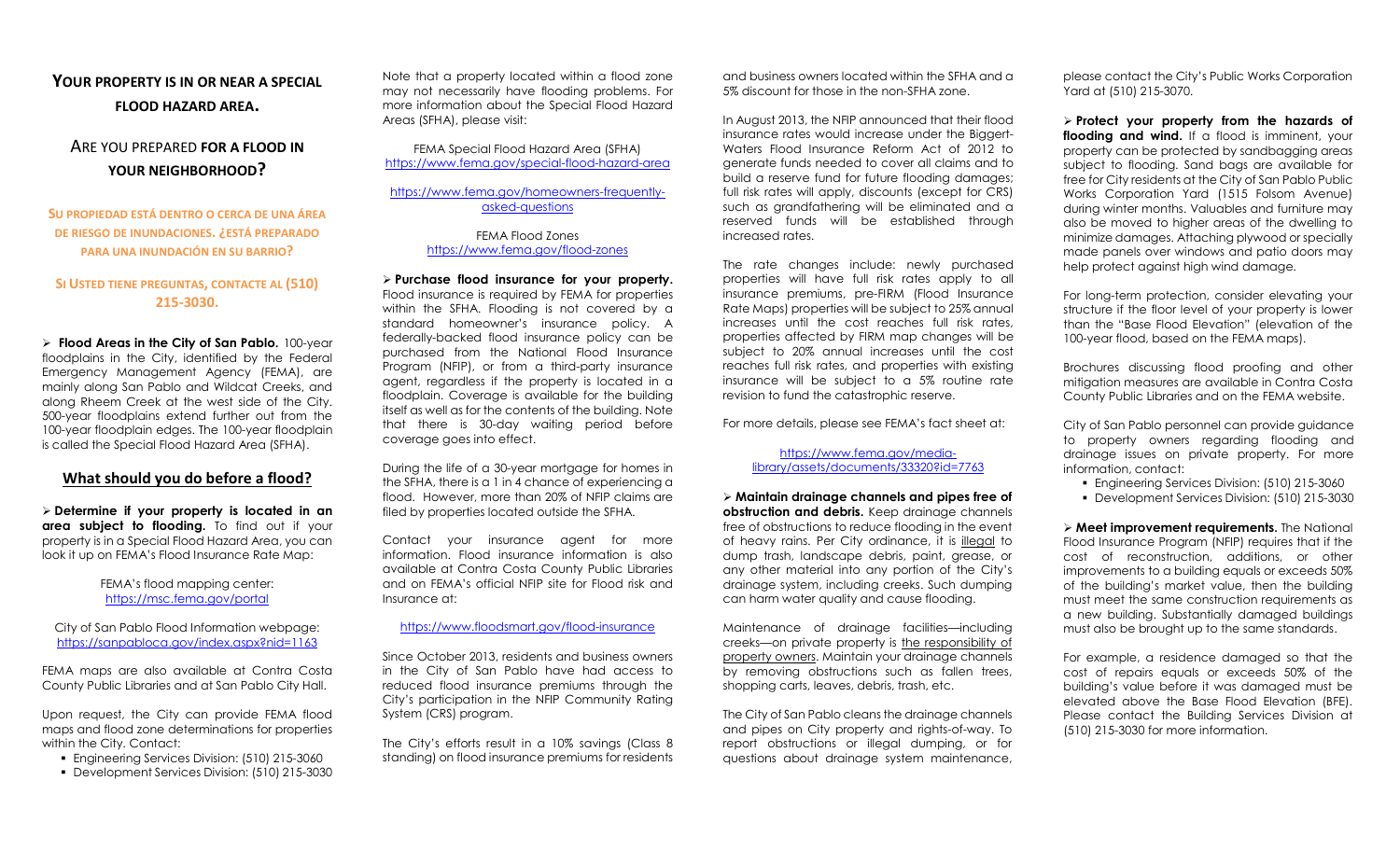# YOUR PROPERTY IS IN OR NEAR A SPECIAL FLOOD HAZARD AREA.

# ARE YOU PREPARED FOR A FLOOD IN YOUR NEIGHBORHOOD?

SU PROPIEDAD ESTÁ DENTRO O CERCA DE UNA ÁREA DE RIESGO DE INUNDACIONES. ¿ESTÁ PREPARADO PARA UNA INUNDACIÓN EN SU BARRIO?

## SI USTED TIENE PREGUNTAS, CONTACTE AL (510) 215-3030.

 $\triangleright$  Flood Areas in the City of San Pablo. 100-year floodplains in the City, identified by the Federal Emergency Management Agency (FEMA), are mainly along San Pablo and Wildcat Creeks, and along Rheem Creek at the west side of the City. 500-year floodplains extend further out from the 100-year floodplain edges. The 100-year floodplain is called the Special Flood Hazard Area (SFHA).

## What should you do before a flood?

 $\triangleright$  Determine if your property is located in an area subject to flooding. To find out if your property is in a Special Flood Hazard Area, you can look it up on FEMA's Flood Insurance Rate Map:

#### FEMA's flood mapping center: https://msc.fema.gov/portal

City of San Pablo Flood Information webpage: https://sanpabloca.gov/index.aspx?nid=1163

FEMA maps are also available at Contra Costa County Public Libraries and at San Pablo City Hall.

Upon request, the City can provide FEMA flood maps and flood zone determinations for properties within the City. Contact:

- Engineering Services Division: (510) 215-3060
- Development Services Division: (510) 215-3030

Note that a property located within a flood zone may not necessarily have flooding problems. For more information about the Special Flood Hazard Areas (SFHA), please visit:

FEMA Special Flood Hazard Area (SFHA) https://www.fema.gov/special-flood-hazard-area

https://www.fema.gov/homeowners-frequentlyasked-questions

> FEMA Flood Zones https://www.fema.gov/flood-zones

 $\triangleright$  Purchase flood insurance for your property. Flood insurance is required by FEMA for properties within the SFHA. Flooding is not covered by a standard homeowner's insurance policy. A federally-backed flood insurance policy can be purchased from the National Flood Insurance Program (NFIP), or from a third-party insurance agent, regardless if the property is located in a floodplain. Coverage is available for the building itself as well as for the contents of the building. Note that there is 30-day waiting period before coverage goes into effect.

During the life of a 30-year mortgage for homes in the SFHA, there is a 1 in 4 chance of experiencing a flood. However, more than 20% of NFIP claims are filed by properties located outside the SFHA.

Contact your insurance agent for more information. Flood insurance information is also available at Contra Costa County Public Libraries and on FEMA's official NFIP site for Flood risk and Insurance at:

#### https://www.floodsmart.gov/flood-insurance

Since October 2013, residents and business owners in the City of San Pablo have had access to reduced flood insurance premiums through the City's participation in the NFIP Community Rating System (CRS) program.

The City's efforts result in a 10% savings (Class 8 standing) on flood insurance premiums for residents and business owners located within the SFHA and a 5% discount for those in the non-SFHA zone.

In August 2013, the NFIP announced that their flood insurance rates would increase under the Biggert-Waters Flood Insurance Reform Act of 2012 to generate funds needed to cover all claims and to build a reserve fund for future flooding damages; full risk rates will apply, discounts (except for CRS) such as grandfathering will be eliminated and a reserved funds will be established through increased rates.

The rate changes include: newly purchased properties will have full risk rates apply to all insurance premiums, pre-FIRM (Flood Insurance Rate Maps) properties will be subject to 25% annual increases until the cost reaches full risk rates, properties affected by FIRM map changes will be subject to 20% annual increases until the cost reaches full risk rates, and properties with existing insurance will be subject to a 5% routine rate revision to fund the catastrophic reserve.

For more details, please see FEMA's fact sheet at:

#### https://www.fema.gov/medialibrary/assets/documents/33320?id=7763

 Maintain drainage channels and pipes free of obstruction and debris. Keep drainage channels free of obstructions to reduce flooding in the event of heavy rains. Per City ordinance, it is illegal to dump trash, landscape debris, paint, grease, or any other material into any portion of the City's drainage system, including creeks. Such dumping can harm water quality and cause flooding.

Maintenance of drainage facilities—including creeks—on private property is the responsibility of property owners. Maintain your drainage channels by removing obstructions such as fallen trees, shopping carts, leaves, debris, trash, etc.

The City of San Pablo cleans the drainage channels and pipes on City property and rights-of-way. To report obstructions or illegal dumping, or for questions about drainage system maintenance, please contact the City's Public Works Corporation Yard at (510) 215-3070.

 $\triangleright$  Protect your property from the hazards of flooding and wind. If a flood is imminent, your property can be protected by sandbagging areas subject to flooding. Sand bags are available for free for City residents at the City of San Pablo Public Works Corporation Yard (1515 Folsom Avenue) during winter months. Valuables and furniture may also be moved to higher areas of the dwelling to minimize damages. Attaching plywood or specially made panels over windows and patio doors may help protect against high wind damage.

For long-term protection, consider elevating your structure if the floor level of your property is lower than the "Base Flood Elevation" (elevation of the 100-year flood, based on the FEMA maps).

Brochures discussing flood proofing and other mitigation measures are available in Contra Costa County Public Libraries and on the FEMA website.

City of San Pablo personnel can provide guidance to property owners regarding flooding and drainage issues on private property. For more information, contact:

- Engineering Services Division: (510) 215-3060
- Development Services Division: (510) 215-3030

> Meet improvement requirements. The National Flood Insurance Program (NFIP) requires that if the cost of reconstruction, additions, or other improvements to a building equals or exceeds 50% of the building's market value, then the building must meet the same construction requirements as a new building. Substantially damaged buildings must also be brought up to the same standards.

For example, a residence damaged so that the cost of repairs equals or exceeds 50% of the building's value before it was damaged must be elevated above the Base Flood Elevation (BFE). Please contact the Building Services Division at (510) 215-3030 for more information.